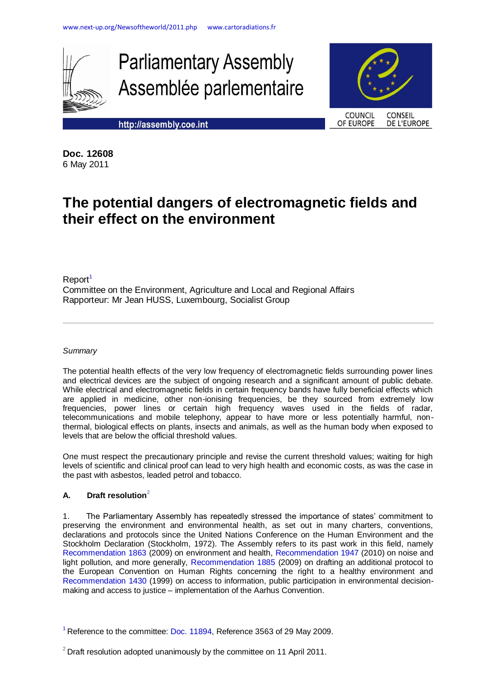

**Doc. 12608 .** 6 May 2011

# **The potential dangers of electromagnetic fields and their effect on the environment**

 $Report<sup>1</sup>$  $Report<sup>1</sup>$  $Report<sup>1</sup>$ Committee on the Environment, Agriculture and Local and Regional Affairs Rapporteur: Mr Jean HUSS, Luxembourg, Socialist Group

## *Summary*

The potential health effects of the very low frequency of electromagnetic fields surrounding power lines and electrical devices are the subject of ongoing research and a significant amount of public debate. While electrical and electromagnetic fields in certain frequency bands have fully beneficial effects which are applied in medicine, other non-ionising frequencies, be they sourced from extremely low frequencies, power lines or certain high frequency waves used in the fields of radar, telecommunications and mobile telephony, appear to have more or less potentially harmful, nonthermal, biological effects on plants, insects and animals, as well as the human body when exposed to levels that are below the official threshold values.

One must respect the precautionary principle and revise the current threshold values; waiting for high levels of scientific and clinical proof can lead to very high health and economic costs, as was the case in the past with asbestos, leaded petrol and tobacco.

## **A. Draft resolutio[n](http://assembly.coe.int/mainf.asp?Link=/documents/workingdocs/doc11/edoc12608.htm#P35_1345)**<sup>2</sup>

1. The Parliamentary Assembly has repeatedly stressed the importance of states' commitment to preserving the environment and environmental health, as set out in many charters, conventions, declarations and protocols since the United Nations Conference on the Human Environment and the Stockholm Declaration (Stockholm, 1972). The Assembly refers to its past work in this field, namel[y](http://assembly.coe.int/mainf.asp?link=http://assembly.coe.int/ASP/Doc/RefRedirectEN.asp?Doc=%20Recommendation%201863) [Recommendation 1863](http://assembly.coe.int/mainf.asp?link=http://assembly.coe.int/ASP/Doc/RefRedirectEN.asp?Doc=%20Recommendation%201863) (2009) on environment and health, [Recommendation 1947](http://assembly.coe.int/mainf.asp?link=http://assembly.coe.int/ASP/Doc/RefRedirectEN.asp?Doc=%20Recommendation%201947) (2010) on noise and light pollution, and more generally, [Recommendation 1885](http://assembly.coe.int/mainf.asp?link=http://assembly.coe.int/ASP/Doc/RefRedirectEN.asp?Doc=%20Recommendation%201885) (2009) on drafting an additional protocol to the European Convention on Human Rights concerning the right to a healthy environment an[d](http://assembly.coe.int/mainf.asp?link=http://assembly.coe.int/ASP/Doc/RefRedirectEN.asp?Doc=%20Recommendation%201430) [Recommendation 1430](http://assembly.coe.int/mainf.asp?link=http://assembly.coe.int/ASP/Doc/RefRedirectEN.asp?Doc=%20Recommendation%201430) (1999) on access to information, public participation in environmental decisionmaking and access to justice – implementation of the Aarhus Convention.

 $1$  Reference to the committee:  $Doc. 11894$ , Reference 3563 of 29 May 2009.

 $2$  Draft resolution adopted unanimously by the committee on 11 April 2011.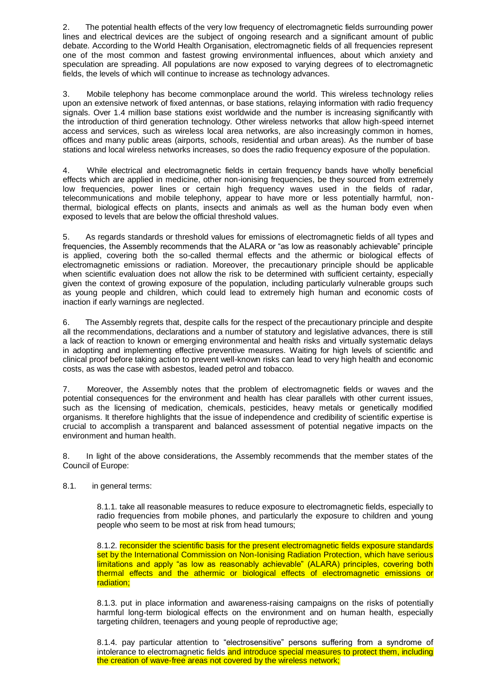2. The potential health effects of the very low frequency of electromagnetic fields surrounding power lines and electrical devices are the subject of ongoing research and a significant amount of public debate. According to the World Health Organisation, electromagnetic fields of all frequencies represent one of the most common and fastest growing environmental influences, about which anxiety and speculation are spreading. All populations are now exposed to varying degrees of to electromagnetic fields, the levels of which will continue to increase as technology advances.

3. Mobile telephony has become commonplace around the world. This wireless technology relies upon an extensive network of fixed antennas, or base stations, relaying information with radio frequency signals. Over 1.4 million base stations exist worldwide and the number is increasing significantly with the introduction of third generation technology. Other wireless networks that allow high-speed internet access and services, such as wireless local area networks, are also increasingly common in homes, offices and many public areas (airports, schools, residential and urban areas). As the number of base stations and local wireless networks increases, so does the radio frequency exposure of the population.

4. While electrical and electromagnetic fields in certain frequency bands have wholly beneficial effects which are applied in medicine, other non-ionising frequencies, be they sourced from extremely low frequencies, power lines or certain high frequency waves used in the fields of radar, telecommunications and mobile telephony, appear to have more or less potentially harmful, nonthermal, biological effects on plants, insects and animals as well as the human body even when exposed to levels that are below the official threshold values.

5. As regards standards or threshold values for emissions of electromagnetic fields of all types and frequencies, the Assembly recommends that the ALARA or "as low as reasonably achievable" principle is applied, covering both the so-called thermal effects and the athermic or biological effects of electromagnetic emissions or radiation. Moreover, the precautionary principle should be applicable when scientific evaluation does not allow the risk to be determined with sufficient certainty, especially given the context of growing exposure of the population, including particularly vulnerable groups such as young people and children, which could lead to extremely high human and economic costs of inaction if early warnings are neglected.

6. The Assembly regrets that, despite calls for the respect of the precautionary principle and despite all the recommendations, declarations and a number of statutory and legislative advances, there is still a lack of reaction to known or emerging environmental and health risks and virtually systematic delays in adopting and implementing effective preventive measures. Waiting for high levels of scientific and clinical proof before taking action to prevent well-known risks can lead to very high health and economic costs, as was the case with asbestos, leaded petrol and tobacco.

7. Moreover, the Assembly notes that the problem of electromagnetic fields or waves and the potential consequences for the environment and health has clear parallels with other current issues, such as the licensing of medication, chemicals, pesticides, heavy metals or genetically modified organisms. It therefore highlights that the issue of independence and credibility of scientific expertise is crucial to accomplish a transparent and balanced assessment of potential negative impacts on the environment and human health.

8. In light of the above considerations, the Assembly recommends that the member states of the Council of Europe:

8.1. in general terms:

8.1.1. take all reasonable measures to reduce exposure to electromagnetic fields, especially to radio frequencies from mobile phones, and particularly the exposure to children and young people who seem to be most at risk from head tumours;

8.1.2. reconsider the scientific basis for the present electromagnetic fields exposure standards set by the International Commission on Non-Ionising Radiation Protection, which have serious limitations and apply "as low as reasonably achievable" (ALARA) principles, covering both thermal effects and the athermic or biological effects of electromagnetic emissions or radiation;

8.1.3. put in place information and awareness-raising campaigns on the risks of potentially harmful long-term biological effects on the environment and on human health, especially targeting children, teenagers and young people of reproductive age;

8.1.4. pay particular attention to "electrosensitive" persons suffering from a syndrome of intolerance to electromagnetic fields and introduce special measures to protect them, including the creation of wave-free areas not covered by the wireless network;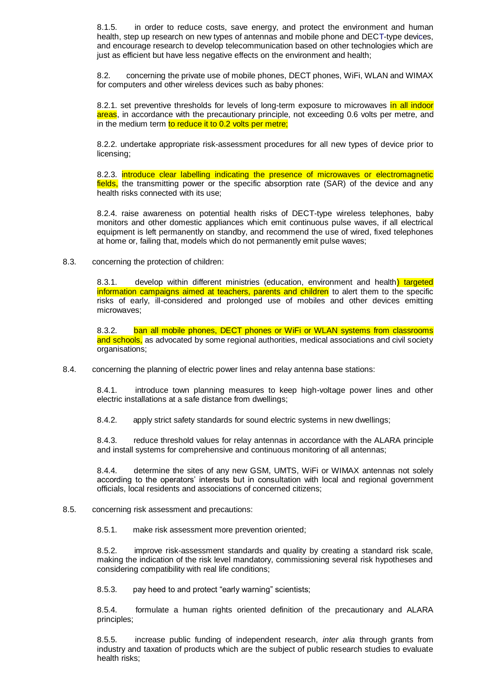8.1.5. in order to reduce costs, save energy, and protect the environment and human health, step up research on new types of antennas and mobile phone and DECT-type devices, and encourage research to develop telecommunication based on other technologies which are just as efficient but have less negative effects on the environment and health;

8.2. concerning the private use of mobile phones, DECT phones, WiFi, WLAN and WIMAX for computers and other wireless devices such as baby phones:

8.2.1. set preventive thresholds for levels of long-term exposure to microwaves in all indoor areas, in accordance with the precautionary principle, not exceeding 0.6 volts per metre, and in the medium term to reduce it to 0.2 volts per metre;

8.2.2. undertake appropriate risk-assessment procedures for all new types of device prior to licensing;

8.2.3. introduce clear labelling indicating the presence of microwaves or electromagnetic fields, the transmitting power or the specific absorption rate (SAR) of the device and any health risks connected with its use;

8.2.4. raise awareness on potential health risks of DECT-type wireless telephones, baby monitors and other domestic appliances which emit continuous pulse waves, if all electrical equipment is left permanently on standby, and recommend the use of wired, fixed telephones at home or, failing that, models which do not permanently emit pulse waves;

8.3. concerning the protection of children:

8.3.1. develop within different ministries (education, environment and health) targeted information campaigns aimed at teachers, parents and children to alert them to the specific risks of early, ill-considered and prolonged use of mobiles and other devices emitting microwaves;

8.3.2. ban all mobile phones, DECT phones or WiFi or WLAN systems from classrooms and schools, as advocated by some regional authorities, medical associations and civil society organisations;

8.4. concerning the planning of electric power lines and relay antenna base stations:

8.4.1. introduce town planning measures to keep high-voltage power lines and other electric installations at a safe distance from dwellings;

8.4.2. apply strict safety standards for sound electric systems in new dwellings;

8.4.3. reduce threshold values for relay antennas in accordance with the ALARA principle and install systems for comprehensive and continuous monitoring of all antennas;

8.4.4. determine the sites of any new GSM, UMTS, WiFi or WIMAX antennas not solely according to the operators' interests but in consultation with local and regional government officials, local residents and associations of concerned citizens;

- 8.5. concerning risk assessment and precautions:
	- 8.5.1. make risk assessment more prevention oriented;

8.5.2. improve risk-assessment standards and quality by creating a standard risk scale, making the indication of the risk level mandatory, commissioning several risk hypotheses and considering compatibility with real life conditions;

8.5.3. pay heed to and protect "early warning" scientists;

8.5.4. formulate a human rights oriented definition of the precautionary and ALARA principles;

8.5.5. increase public funding of independent research, *inter alia* through grants from industry and taxation of products which are the subject of public research studies to evaluate health risks;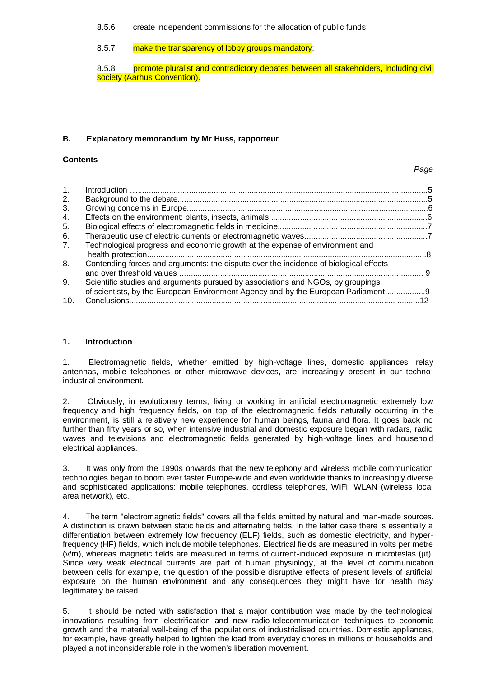8.5.6. create independent commissions for the allocation of public funds;

8.5.7. make the transparency of lobby groups mandatory;

8.5.8. promote pluralist and contradictory debates between all stakeholders, including civil society (Aarhus Convention).

# **B. Explanatory memorandum by Mr Huss, rapporteur**

#### **Contents**

| 1.             |                                                                                                                                                                     |  |
|----------------|---------------------------------------------------------------------------------------------------------------------------------------------------------------------|--|
| 2.             |                                                                                                                                                                     |  |
| 3.             |                                                                                                                                                                     |  |
| 4.             |                                                                                                                                                                     |  |
| 5.             |                                                                                                                                                                     |  |
| 6.             |                                                                                                                                                                     |  |
| 7 <sub>1</sub> | Technological progress and economic growth at the expense of environment and                                                                                        |  |
| 8.             | Contending forces and arguments: the dispute over the incidence of biological effects                                                                               |  |
| 9.             | Scientific studies and arguments pursued by associations and NGOs, by groupings<br>of scientists, by the European Environment Agency and by the European Parliament |  |
| 10.            |                                                                                                                                                                     |  |

## **1. Introduction**

1. Electromagnetic fields, whether emitted by high-voltage lines, domestic appliances, relay antennas, mobile telephones or other microwave devices, are increasingly present in our technoindustrial environment.

2. Obviously, in evolutionary terms, living or working in artificial electromagnetic extremely low frequency and high frequency fields, on top of the electromagnetic fields naturally occurring in the environment, is still a relatively new experience for human beings, fauna and flora. It goes back no further than fifty years or so, when intensive industrial and domestic exposure began with radars, radio waves and televisions and electromagnetic fields generated by high-voltage lines and household electrical appliances.

3. It was only from the 1990s onwards that the new telephony and wireless mobile communication technologies began to boom ever faster Europe-wide and even worldwide thanks to increasingly diverse and sophisticated applications: mobile telephones, cordless telephones, WiFi, WLAN (wireless local area network), etc.

4. The term "electromagnetic fields" covers all the fields emitted by natural and man-made sources. A distinction is drawn between static fields and alternating fields. In the latter case there is essentially a differentiation between extremely low frequency (ELF) fields, such as domestic electricity, and hyperfrequency (HF) fields, which include mobile telephones. Electrical fields are measured in volts per metre (v/m), whereas magnetic fields are measured in terms of current-induced exposure in microteslas (µt). Since very weak electrical currents are part of human physiology, at the level of communication between cells for example, the question of the possible disruptive effects of present levels of artificial exposure on the human environment and any consequences they might have for health may legitimately be raised.

5. It should be noted with satisfaction that a major contribution was made by the technological innovations resulting from electrification and new radio-telecommunication techniques to economic growth and the material well-being of the populations of industrialised countries. Domestic appliances, for example, have greatly helped to lighten the load from everyday chores in millions of households and played a not inconsiderable role in the women's liberation movement.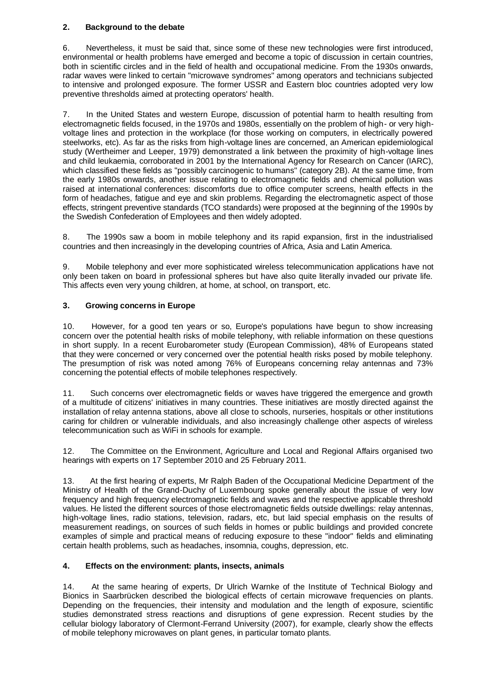# **2. Background to the debate**

6. Nevertheless, it must be said that, since some of these new technologies were first introduced, environmental or health problems have emerged and become a topic of discussion in certain countries, both in scientific circles and in the field of health and occupational medicine. From the 1930s onwards, radar waves were linked to certain "microwave syndromes" among operators and technicians subjected to intensive and prolonged exposure. The former USSR and Eastern bloc countries adopted very low preventive thresholds aimed at protecting operators' health.

7. In the United States and western Europe, discussion of potential harm to health resulting from electromagnetic fields focused, in the 1970s and 1980s, essentially on the problem of high- or very highvoltage lines and protection in the workplace (for those working on computers, in electrically powered steelworks, etc). As far as the risks from high-voltage lines are concerned, an American epidemiological study (Wertheimer and Leeper, 1979) demonstrated a link between the proximity of high-voltage lines and child leukaemia, corroborated in 2001 by the International Agency for Research on Cancer (IARC), which classified these fields as "possibly carcinogenic to humans" (category 2B). At the same time, from the early 1980s onwards, another issue relating to electromagnetic fields and chemical pollution was raised at international conferences: discomforts due to office computer screens, health effects in the form of headaches, fatigue and eye and skin problems. Regarding the electromagnetic aspect of those effects, stringent preventive standards (TCO standards) were proposed at the beginning of the 1990s by the Swedish Confederation of Employees and then widely adopted.

8. The 1990s saw a boom in mobile telephony and its rapid expansion, first in the industrialised countries and then increasingly in the developing countries of Africa, Asia and Latin America.

9. Mobile telephony and ever more sophisticated wireless telecommunication applications have not only been taken on board in professional spheres but have also quite literally invaded our private life. This affects even very young children, at home, at school, on transport, etc.

# **3. Growing concerns in Europe**

10. However, for a good ten years or so, Europe's populations have begun to show increasing concern over the potential health risks of mobile telephony, with reliable information on these questions in short supply. In a recent Eurobarometer study (European Commission), 48% of Europeans stated that they were concerned or very concerned over the potential health risks posed by mobile telephony. The presumption of risk was noted among 76% of Europeans concerning relay antennas and 73% concerning the potential effects of mobile telephones respectively.

11. Such concerns over electromagnetic fields or waves have triggered the emergence and growth of a multitude of citizens' initiatives in many countries. These initiatives are mostly directed against the installation of relay antenna stations, above all close to schools, nurseries, hospitals or other institutions caring for children or vulnerable individuals, and also increasingly challenge other aspects of wireless telecommunication such as WiFi in schools for example.

12. The Committee on the Environment, Agriculture and Local and Regional Affairs organised two hearings with experts on 17 September 2010 and 25 February 2011.

13. At the first hearing of experts, Mr Ralph Baden of the Occupational Medicine Department of the Ministry of Health of the Grand-Duchy of Luxembourg spoke generally about the issue of very low frequency and high frequency electromagnetic fields and waves and the respective applicable threshold values. He listed the different sources of those electromagnetic fields outside dwellings: relay antennas, high-voltage lines, radio stations, television, radars, etc, but laid special emphasis on the results of measurement readings, on sources of such fields in homes or public buildings and provided concrete examples of simple and practical means of reducing exposure to these "indoor" fields and eliminating certain health problems, such as headaches, insomnia, coughs, depression, etc.

## **4. Effects on the environment: plants, insects, animals**

14. At the same hearing of experts, Dr Ulrich Warnke of the Institute of Technical Biology and Bionics in Saarbrücken described the biological effects of certain microwave frequencies on plants. Depending on the frequencies, their intensity and modulation and the length of exposure, scientific studies demonstrated stress reactions and disruptions of gene expression. Recent studies by the cellular biology laboratory of Clermont-Ferrand University (2007), for example, clearly show the effects of mobile telephony microwaves on plant genes, in particular tomato plants.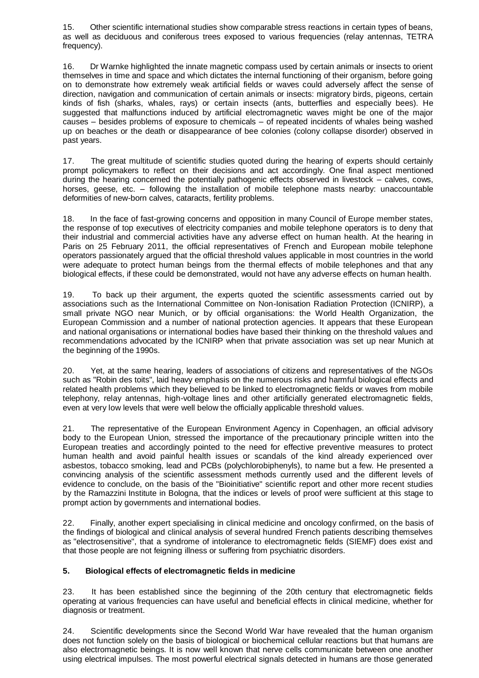15. Other scientific international studies show comparable stress reactions in certain types of beans, as well as deciduous and coniferous trees exposed to various frequencies (relay antennas, TETRA frequency).

16. Dr Warnke highlighted the innate magnetic compass used by certain animals or insects to orient themselves in time and space and which dictates the internal functioning of their organism, before going on to demonstrate how extremely weak artificial fields or waves could adversely affect the sense of direction, navigation and communication of certain animals or insects: migratory birds, pigeons, certain kinds of fish (sharks, whales, rays) or certain insects (ants, butterflies and especially bees). He suggested that malfunctions induced by artificial electromagnetic waves might be one of the major causes – besides problems of exposure to chemicals – of repeated incidents of whales being washed up on beaches or the death or disappearance of bee colonies (colony collapse disorder) observed in past years.

17. The great multitude of scientific studies quoted during the hearing of experts should certainly prompt policymakers to reflect on their decisions and act accordingly. One final aspect mentioned during the hearing concerned the potentially pathogenic effects observed in livestock – calves, cows, horses, geese, etc. – following the installation of mobile telephone masts nearby: unaccountable deformities of new-born calves, cataracts, fertility problems.

18. In the face of fast-growing concerns and opposition in many Council of Europe member states, the response of top executives of electricity companies and mobile telephone operators is to deny that their industrial and commercial activities have any adverse effect on human health. At the hearing in Paris on 25 February 2011, the official representatives of French and European mobile telephone operators passionately argued that the official threshold values applicable in most countries in the world were adequate to protect human beings from the thermal effects of mobile telephones and that any biological effects, if these could be demonstrated, would not have any adverse effects on human health.

19. To back up their argument, the experts quoted the scientific assessments carried out by associations such as the International Committee on Non-Ionisation Radiation Protection (ICNIRP), a small private NGO near Munich, or by official organisations: the World Health Organization, the European Commission and a number of national protection agencies. It appears that these European and national organisations or international bodies have based their thinking on the threshold values and recommendations advocated by the ICNIRP when that private association was set up near Munich at the beginning of the 1990s.

20. Yet, at the same hearing, leaders of associations of citizens and representatives of the NGOs such as "Robin des toits", laid heavy emphasis on the numerous risks and harmful biological effects and related health problems which they believed to be linked to electromagnetic fields or waves from mobile telephony, relay antennas, high-voltage lines and other artificially generated electromagnetic fields, even at very low levels that were well below the officially applicable threshold values.

21. The representative of the European Environment Agency in Copenhagen, an official advisory body to the European Union, stressed the importance of the precautionary principle written into the European treaties and accordingly pointed to the need for effective preventive measures to protect human health and avoid painful health issues or scandals of the kind already experienced over asbestos, tobacco smoking, lead and PCBs (polychlorobiphenyls), to name but a few. He presented a convincing analysis of the scientific assessment methods currently used and the different levels of evidence to conclude, on the basis of the "Bioinitiative" scientific report and other more recent studies by the Ramazzini Institute in Bologna, that the indices or levels of proof were sufficient at this stage to prompt action by governments and international bodies.

22. Finally, another expert specialising in clinical medicine and oncology confirmed, on the basis of the findings of biological and clinical analysis of several hundred French patients describing themselves as "electrosensitive", that a syndrome of intolerance to electromagnetic fields (SIEMF) does exist and that those people are not feigning illness or suffering from psychiatric disorders.

# **5. Biological effects of electromagnetic fields in medicine**

23. It has been established since the beginning of the 20th century that electromagnetic fields operating at various frequencies can have useful and beneficial effects in clinical medicine, whether for diagnosis or treatment.

24. Scientific developments since the Second World War have revealed that the human organism does not function solely on the basis of biological or biochemical cellular reactions but that humans are also electromagnetic beings. It is now well known that nerve cells communicate between one another using electrical impulses. The most powerful electrical signals detected in humans are those generated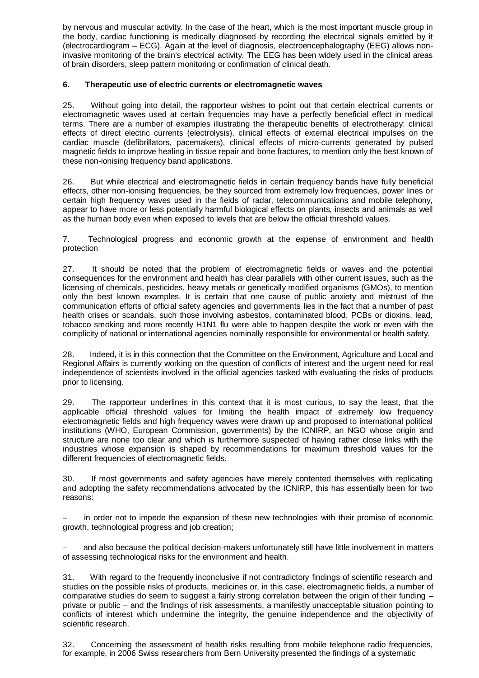by nervous and muscular activity. In the case of the heart, which is the most important muscle group in the body, cardiac functioning is medically diagnosed by recording the electrical signals emitted by it (electrocardiogram – ECG). Again at the level of diagnosis, electroencephalography (EEG) allows noninvasive monitoring of the brain's electrical activity. The EEG has been widely used in the clinical areas of brain disorders, sleep pattern monitoring or confirmation of clinical death.

## **6. Therapeutic use of electric currents or electromagnetic waves**

25. Without going into detail, the rapporteur wishes to point out that certain electrical currents or electromagnetic waves used at certain frequencies may have a perfectly beneficial effect in medical terms. There are a number of examples illustrating the therapeutic benefits of electrotherapy: clinical effects of direct electric currents (electrolysis), clinical effects of external electrical impulses on the cardiac muscle (defibrillators, pacemakers), clinical effects of micro-currents generated by pulsed magnetic fields to improve healing in tissue repair and bone fractures, to mention only the best known of these non-ionising frequency band applications.

26. But while electrical and electromagnetic fields in certain frequency bands have fully beneficial effects, other non-ionising frequencies, be they sourced from extremely low frequencies, power lines or certain high frequency waves used in the fields of radar, telecommunications and mobile telephony, appear to have more or less potentially harmful biological effects on plants, insects and animals as well as the human body even when exposed to levels that are below the official threshold values.

7. Technological progress and economic growth at the expense of environment and health protection

27. It should be noted that the problem of electromagnetic fields or waves and the potential consequences for the environment and health has clear parallels with other current issues, such as the licensing of chemicals, pesticides, heavy metals or genetically modified organisms (GMOs), to mention only the best known examples. It is certain that one cause of public anxiety and mistrust of the communication efforts of official safety agencies and governments lies in the fact that a number of past health crises or scandals, such those involving asbestos, contaminated blood, PCBs or dioxins, lead, tobacco smoking and more recently H1N1 flu were able to happen despite the work or even with the complicity of national or international agencies nominally responsible for environmental or health safety.

28. Indeed, it is in this connection that the Committee on the Environment, Agriculture and Local and Regional Affairs is currently working on the question of conflicts of interest and the urgent need for real independence of scientists involved in the official agencies tasked with evaluating the risks of products prior to licensing.

29. The rapporteur underlines in this context that it is most curious, to say the least, that the applicable official threshold values for limiting the health impact of extremely low frequency electromagnetic fields and high frequency waves were drawn up and proposed to international political institutions (WHO, European Commission, governments) by the ICNIRP, an NGO whose origin and structure are none too clear and which is furthermore suspected of having rather close links with the industries whose expansion is shaped by recommendations for maximum threshold values for the different frequencies of electromagnetic fields.

30. If most governments and safety agencies have merely contented themselves with replicating and adopting the safety recommendations advocated by the ICNIRP, this has essentially been for two reasons:

in order not to impede the expansion of these new technologies with their promise of economic growth, technological progress and job creation;

– and also because the political decision-makers unfortunately still have little involvement in matters of assessing technological risks for the environment and health.

31. With regard to the frequently inconclusive if not contradictory findings of scientific research and studies on the possible risks of products, medicines or, in this case, electromagnetic fields, a number of comparative studies do seem to suggest a fairly strong correlation between the origin of their funding – private or public – and the findings of risk assessments, a manifestly unacceptable situation pointing to conflicts of interest which undermine the integrity, the genuine independence and the objectivity of scientific research.

32. Concerning the assessment of health risks resulting from mobile telephone radio frequencies, for example, in 2006 Swiss researchers from Bern University presented the findings of a systematic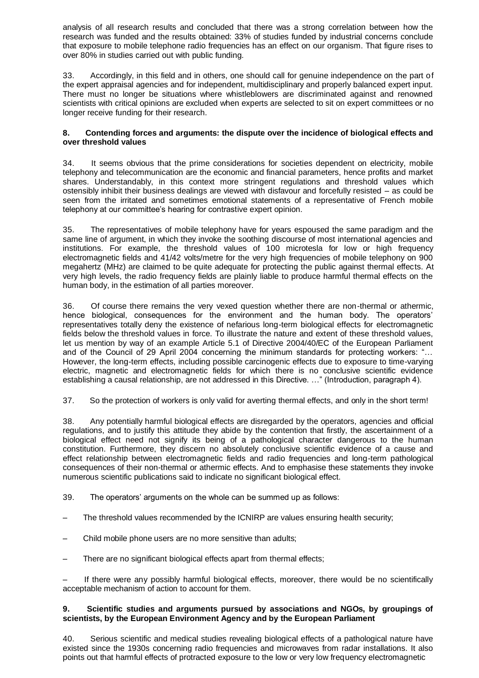analysis of all research results and concluded that there was a strong correlation between how the research was funded and the results obtained: 33% of studies funded by industrial concerns conclude that exposure to mobile telephone radio frequencies has an effect on our organism. That figure rises to over 80% in studies carried out with public funding.

33. Accordingly, in this field and in others, one should call for genuine independence on the part of the expert appraisal agencies and for independent, multidisciplinary and properly balanced expert input. There must no longer be situations where whistleblowers are discriminated against and renowned scientists with critical opinions are excluded when experts are selected to sit on expert committees or no longer receive funding for their research.

#### **8. Contending forces and arguments: the dispute over the incidence of biological effects and over threshold values**

34. It seems obvious that the prime considerations for societies dependent on electricity, mobile telephony and telecommunication are the economic and financial parameters, hence profits and market shares. Understandably, in this context more stringent regulations and threshold values which ostensibly inhibit their business dealings are viewed with disfavour and forcefully resisted – as could be seen from the irritated and sometimes emotional statements of a representative of French mobile telephony at our committee's hearing for contrastive expert opinion.

35. The representatives of mobile telephony have for years espoused the same paradigm and the same line of argument, in which they invoke the soothing discourse of most international agencies and institutions. For example, the threshold values of 100 microtesla for low or high frequency electromagnetic fields and 41/42 volts/metre for the very high frequencies of mobile telephony on 900 megahertz (MHz) are claimed to be quite adequate for protecting the public against thermal effects. At very high levels, the radio frequency fields are plainly liable to produce harmful thermal effects on the human body, in the estimation of all parties moreover.

36. Of course there remains the very vexed question whether there are non-thermal or athermic, hence biological, consequences for the environment and the human body. The operators' representatives totally deny the existence of nefarious long-term biological effects for electromagnetic fields below the threshold values in force. To illustrate the nature and extent of these threshold values, let us mention by way of an example Article 5.1 of Directive 2004/40/EC of the European Parliament and of the Council of 29 April 2004 concerning the minimum standards for protecting workers: "... However, the long-term effects, including possible carcinogenic effects due to exposure to time-varying electric, magnetic and electromagnetic fields for which there is no conclusive scientific evidence establishing a causal relationship, are not addressed in this Directive. …" (Introduction, paragraph 4).

37. So the protection of workers is only valid for averting thermal effects, and only in the short term!

38. Any potentially harmful biological effects are disregarded by the operators, agencies and official regulations, and to justify this attitude they abide by the contention that firstly, the ascertainment of a biological effect need not signify its being of a pathological character dangerous to the human constitution. Furthermore, they discern no absolutely conclusive scientific evidence of a cause and effect relationship between electromagnetic fields and radio frequencies and long-term pathological consequences of their non-thermal or athermic effects. And to emphasise these statements they invoke numerous scientific publications said to indicate no significant biological effect.

- 39. The operators' arguments on the whole can be summed up as follows:
- The threshold values recommended by the ICNIRP are values ensuring health security;
- Child mobile phone users are no more sensitive than adults;
- There are no significant biological effects apart from thermal effects;

If there were any possibly harmful biological effects, moreover, there would be no scientifically acceptable mechanism of action to account for them.

#### **9. Scientific studies and arguments pursued by associations and NGOs, by groupings of scientists, by the European Environment Agency and by the European Parliament**

40. Serious scientific and medical studies revealing biological effects of a pathological nature have existed since the 1930s concerning radio frequencies and microwaves from radar installations. It also points out that harmful effects of protracted exposure to the low or very low frequency electromagnetic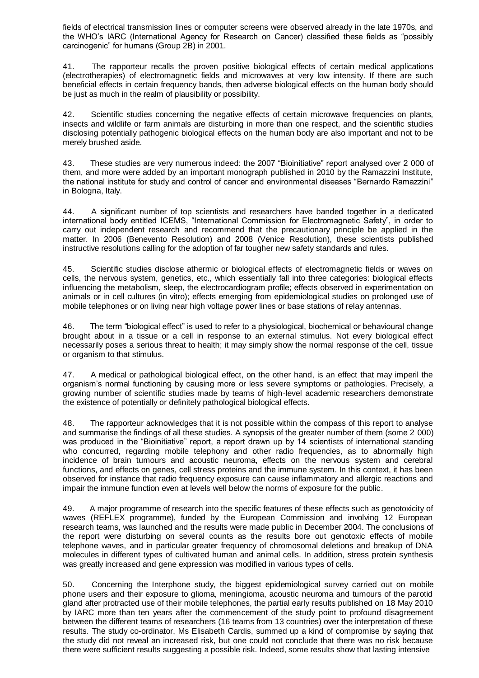fields of electrical transmission lines or computer screens were observed already in the late 1970s, and the WHO's IARC (International Agency for Research on Cancer) classified these fields as "possibly carcinogenic" for humans (Group 2B) in 2001.

41. The rapporteur recalls the proven positive biological effects of certain medical applications (electrotherapies) of electromagnetic fields and microwaves at very low intensity. If there are such beneficial effects in certain frequency bands, then adverse biological effects on the human body should be just as much in the realm of plausibility or possibility.

42. Scientific studies concerning the negative effects of certain microwave frequencies on plants, insects and wildlife or farm animals are disturbing in more than one respect, and the scientific studies disclosing potentially pathogenic biological effects on the human body are also important and not to be merely brushed aside.

43. These studies are very numerous indeed: the 2007 "Bioinitiative" report analysed over 2 000 of them, and more were added by an important monograph published in 2010 by the Ramazzini Institute, the national institute for study and control of cancer and environmental diseases "Bernardo Ramazzini" in Bologna, Italy.

44. A significant number of top scientists and researchers have banded together in a dedicated international body entitled ICEMS, "International Commission for Electromagnetic Safety", in order to carry out independent research and recommend that the precautionary principle be applied in the matter. In 2006 (Benevento Resolution) and 2008 (Venice Resolution), these scientists published instructive resolutions calling for the adoption of far tougher new safety standards and rules.

45. Scientific studies disclose athermic or biological effects of electromagnetic fields or waves on cells, the nervous system, genetics, etc., which essentially fall into three categories: biological effects influencing the metabolism, sleep, the electrocardiogram profile; effects observed in experimentation on animals or in cell cultures (in vitro); effects emerging from epidemiological studies on prolonged use of mobile telephones or on living near high voltage power lines or base stations of relay antennas.

46. The term "biological effect" is used to refer to a physiological, biochemical or behavioural change brought about in a tissue or a cell in response to an external stimulus. Not every biological effect necessarily poses a serious threat to health; it may simply show the normal response of the cell, tissue or organism to that stimulus.

47. A medical or pathological biological effect, on the other hand, is an effect that may imperil the organism's normal functioning by causing more or less severe symptoms or pathologies. Precisely, a growing number of scientific studies made by teams of high-level academic researchers demonstrate the existence of potentially or definitely pathological biological effects.

48. The rapporteur acknowledges that it is not possible within the compass of this report to analyse and summarise the findings of all these studies. A synopsis of the greater number of them (some 2 000) was produced in the "Bioinitiative" report, a report drawn up by 14 scientists of international standing who concurred, regarding mobile telephony and other radio frequencies, as to abnormally high incidence of brain tumours and acoustic neuroma, effects on the nervous system and cerebral functions, and effects on genes, cell stress proteins and the immune system. In this context, it has been observed for instance that radio frequency exposure can cause inflammatory and allergic reactions and impair the immune function even at levels well below the norms of exposure for the public.

49. A major programme of research into the specific features of these effects such as genotoxicity of waves (REFLEX programme), funded by the European Commission and involving 12 European research teams, was launched and the results were made public in December 2004. The conclusions of the report were disturbing on several counts as the results bore out genotoxic effects of mobile telephone waves, and in particular greater frequency of chromosomal deletions and breakup of DNA molecules in different types of cultivated human and animal cells. In addition, stress protein synthesis was greatly increased and gene expression was modified in various types of cells.

50. Concerning the Interphone study, the biggest epidemiological survey carried out on mobile phone users and their exposure to glioma, meningioma, acoustic neuroma and tumours of the parotid gland after protracted use of their mobile telephones, the partial early results published on 18 May 2010 by IARC more than ten years after the commencement of the study point to profound disagreement between the different teams of researchers (16 teams from 13 countries) over the interpretation of these results. The study co-ordinator, Ms Elisabeth Cardis, summed up a kind of compromise by saying that the study did not reveal an increased risk, but one could not conclude that there was no risk because there were sufficient results suggesting a possible risk. Indeed, some results show that lasting intensive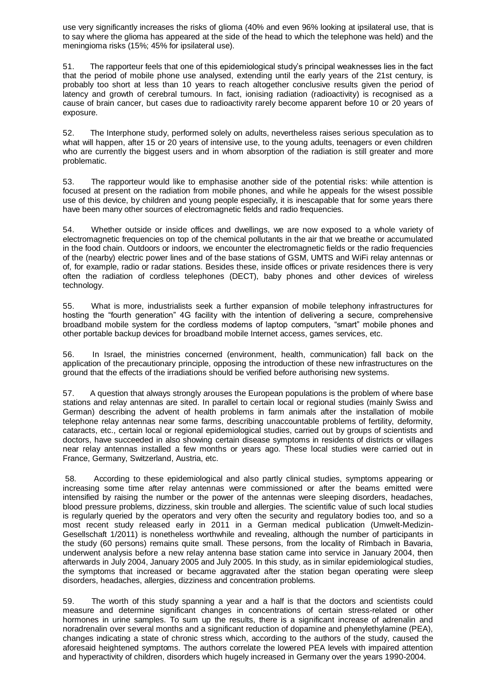use very significantly increases the risks of glioma (40% and even 96% looking at ipsilateral use, that is to say where the glioma has appeared at the side of the head to which the telephone was held) and the meningioma risks (15%; 45% for ipsilateral use).

51. The rapporteur feels that one of this epidemiological study's principal weaknesses lies in the fact that the period of mobile phone use analysed, extending until the early years of the 21st century, is probably too short at less than 10 years to reach altogether conclusive results given the period of latency and growth of cerebral tumours. In fact, ionising radiation (radioactivity) is recognised as a cause of brain cancer, but cases due to radioactivity rarely become apparent before 10 or 20 years of exposure.

52. The Interphone study, performed solely on adults, nevertheless raises serious speculation as to what will happen, after 15 or 20 years of intensive use, to the young adults, teenagers or even children who are currently the biggest users and in whom absorption of the radiation is still greater and more problematic.

53. The rapporteur would like to emphasise another side of the potential risks: while attention is focused at present on the radiation from mobile phones, and while he appeals for the wisest possible use of this device, by children and young people especially, it is inescapable that for some years there have been many other sources of electromagnetic fields and radio frequencies.

54. Whether outside or inside offices and dwellings, we are now exposed to a whole variety of electromagnetic frequencies on top of the chemical pollutants in the air that we breathe or accumulated in the food chain. Outdoors or indoors, we encounter the electromagnetic fields or the radio frequencies of the (nearby) electric power lines and of the base stations of GSM, UMTS and WiFi relay antennas or of, for example, radio or radar stations. Besides these, inside offices or private residences there is very often the radiation of cordless telephones (DECT), baby phones and other devices of wireless technology.

55. What is more, industrialists seek a further expansion of mobile telephony infrastructures for hosting the "fourth generation" 4G facility with the intention of delivering a secure, comprehensive broadband mobile system for the cordless modems of laptop computers, "smart" mobile phones and other portable backup devices for broadband mobile Internet access, games services, etc.

56. In Israel, the ministries concerned (environment, health, communication) fall back on the application of the precautionary principle, opposing the introduction of these new infrastructures on the ground that the effects of the irradiations should be verified before authorising new systems.

57. A question that always strongly arouses the European populations is the problem of where base stations and relay antennas are sited. In parallel to certain local or regional studies (mainly Swiss and German) describing the advent of health problems in farm animals after the installation of mobile telephone relay antennas near some farms, describing unaccountable problems of fertility, deformity, cataracts, etc., certain local or regional epidemiological studies, carried out by groups of scientists and doctors, have succeeded in also showing certain disease symptoms in residents of districts or villages near relay antennas installed a few months or years ago. These local studies were carried out in France, Germany, Switzerland, Austria, etc.

58. According to these epidemiological and also partly clinical studies, symptoms appearing or increasing some time after relay antennas were commissioned or after the beams emitted were intensified by raising the number or the power of the antennas were sleeping disorders, headaches, blood pressure problems, dizziness, skin trouble and allergies. The scientific value of such local studies is regularly queried by the operators and very often the security and regulatory bodies too, and so a most recent study released early in 2011 in a German medical publication (Umwelt-Medizin-Gesellschaft 1/2011) is nonetheless worthwhile and revealing, although the number of participants in the study (60 persons) remains quite small. These persons, from the locality of Rimbach in Bavaria, underwent analysis before a new relay antenna base station came into service in January 2004, then afterwards in July 2004, January 2005 and July 2005. In this study, as in similar epidemiological studies, the symptoms that increased or became aggravated after the station began operating were sleep disorders, headaches, allergies, dizziness and concentration problems.

59. The worth of this study spanning a year and a half is that the doctors and scientists could measure and determine significant changes in concentrations of certain stress-related or other hormones in urine samples. To sum up the results, there is a significant increase of adrenalin and noradrenalin over several months and a significant reduction of dopamine and phenylethylamine (PEA), changes indicating a state of chronic stress which, according to the authors of the study, caused the aforesaid heightened symptoms. The authors correlate the lowered PEA levels with impaired attention and hyperactivity of children, disorders which hugely increased in Germany over the years 1990-2004.